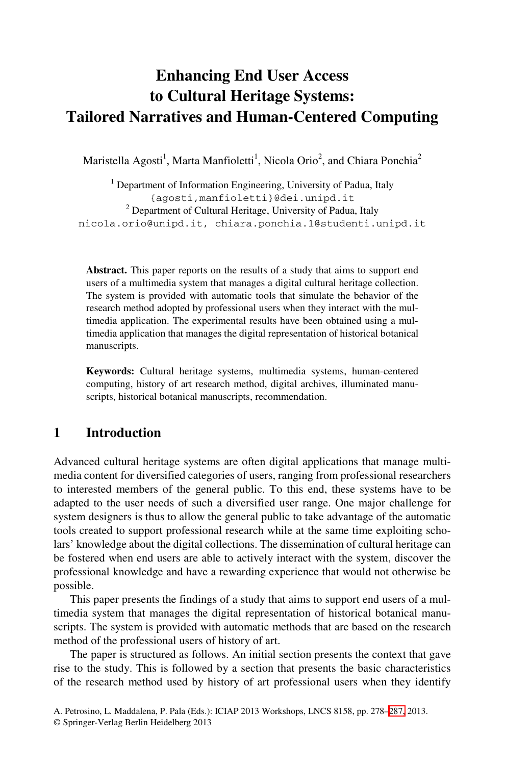# **Enhancing End User Access to Cultural Heritage Systems: Tailored Narratives and Human-Centered Computing**

Maristella Agosti<sup>1</sup>, Marta Manfioletti<sup>1</sup>, Nicola Orio<sup>2</sup>, and Chiara Ponchia<sup>2</sup>

<sup>1</sup> Department of Information Engineering, University of Padua, Italy {agosti,manfioletti}@dei.unipd.it <sup>2</sup> Department of Cultural Heritage, University of Padua, Italy nicola.orio@unipd.it, chiara.ponchia.1@studenti.unipd.it

**Abstract.** This paper reports on the results of a study that aims to support end users of a multimedia system that manages a digital cultural heritage collection. The system is provided with automatic tools that simulate the behavior of the research method adopted by professional users when they interact with the multimedia application. The experimental results have been obtained using a multimedia application that manages the digital representation of historical botanical manuscripts.

**Keywords:** Cultural heritage systems, multimedia systems, human-centered computing, history of art research method, digital archives, illuminated manuscripts, historical botanical manuscripts, recommendation.

#### **1 Introduction**

Advanced cultural heritage systems are often digital applications that manage multimedia content for diversified categories of users, ranging from professional researchers to interested members of the general public. To this end, these systems have to be adapted to the user needs of such a diversified user range. One major challenge for system designers is thus to allow the general public to take advantage of the automatic tools created to support professional research while at the same time exploiting scholars' knowledge about the digital collections. The dissemination of cultural heritage can be fostered when end users are able to actively interact with the system, discover the professional knowledge and have a rewarding experience that would not otherwise be possible.

This paper presents the findings of a study that ai[ms t](#page-9-0)o support end users of a multimedia system that manages the digital representation of historical botanical manuscripts. The system is provided with automatic methods that are based on the research method of the professional users of history of art.

The paper is structured as follows. An initial section presents the context that gave rise to the study. This is followed by a section that presents the basic characteristics of the research method used by history of art professional users when they identify

A. Petrosino, L. Maddalena, P. Pala (Eds.): ICIAP 2013 Workshops, LNCS 8158, pp. 278–287, 2013. © Springer-Verlag Berlin Heidelberg 2013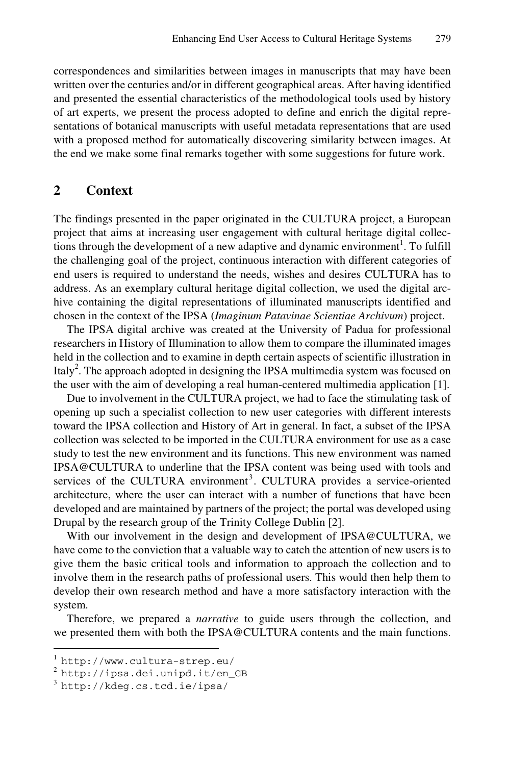correspondences and similarities between images in manuscripts that may have been written over the centuries and/or in different geographical areas. After having identified and presented the essential characteristics of the methodological tools used by history of art experts, we present the process adopted to define and enrich the digital representations of botanical manuscripts with useful metadata representations that are used with a proposed method for automatically discovering similarity between images. At the end we make some final remarks together with some suggestions for future work.

## **2 Context**

The findings presented in the paper originated in the CULTURA project, a European project that aims at increasing user engagement with cultural heritage digital collections through the development of a new adaptive and dynamic environment<sup>1</sup>. To fulfill the challenging goal of the project, continuous interaction with different categories of end users is required to understand the needs, wishes and desires CULTURA has to address. As an exemplary cultural heritage digital collection, we used the digital archive containing the digital representations of illuminated manuscripts identified and chosen in the context of the IPSA (*Imaginum Patavinae Scientiae Archivum*) project.

The IPSA digital archive was created at the University of Padua for professional researchers in History of Illumination to allow them to compare the illuminated images held in the collection and to examine in depth certain aspects of scientific illustration in Italy<sup>2</sup>. The approach adopted in designing the IPSA multimedia system was focused on the user with the aim of developing a real human-centered multimedia application [1].

Due to involvement in the CULTURA project, we had to face the stimulating task of opening up such a specialist collection to new user categories with different interests toward the IPSA collection and History of Art in general. In fact, a subset of the IPSA collection was selected to be imported in the CULTURA environment for use as a case study to test the new environment and its functions. This new environment was named IPSA@CULTURA to underline that the IPSA content was being used with tools and services of the CULTURA environment<sup>3</sup>. CULTURA provides a service-oriented architecture, where the user can interact with a number of functions that have been developed and are maintained by partners of the project; the portal was developed using Drupal by the research group of the Trinity College Dublin [2].

With our involvement in the design and development of IPSA@CULTURA, we have come to the conviction that a valuable way to catch the attention of new users is to give them the basic critical tools and information to approach the collection and to involve them in the research paths of professional users. This would then help them to develop their own research method and have a more satisfactory interaction with the system.

Therefore, we prepared a *narrative* to guide users through the collection, and we presented them with both the IPSA@CULTURA contents and the main functions.

-

<sup>1</sup> http://www.cultura-strep.eu/

<sup>2</sup> http://ipsa.dei.unipd.it/en\_GB

 $3$  http://kdeg.cs.tcd.ie/ipsa/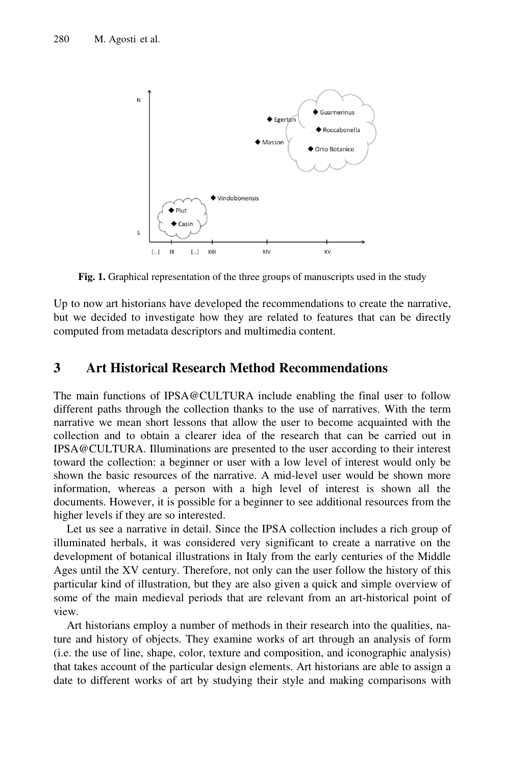

**Fig. 1.** Graphical representation of the three groups of manuscripts used in the study

Up to now art historians have developed the recommendations to create the narrative, but we decided to investigate how they are related to features that can be directly computed from metadata descriptors and multimedia content.

## **3 Art Historical Research Method Recommendations**

The main functions of IPSA@CULTURA include enabling the final user to follow different paths through the collection thanks to the use of narratives. With the term narrative we mean short lessons that allow the user to become acquainted with the collection and to obtain a clearer idea of the research that can be carried out in IPSA@CULTURA. Illuminations are presented to the user according to their interest toward the collection: a beginner or user with a low level of interest would only be shown the basic resources of the narrative. A mid-level user would be shown more information, whereas a person with a high level of interest is shown all the documents. However, it is possible for a beginner to see additional resources from the higher levels if they are so interested.

Let us see a narrative in detail. Since the IPSA collection includes a rich group of illuminated herbals, it was considered very significant to create a narrative on the development of botanical illustrations in Italy from the early centuries of the Middle Ages until the XV century. Therefore, not only can the user follow the history of this particular kind of illustration, but they are also given a quick and simple overview of some of the main medieval periods that are relevant from an art-historical point of view.

Art historians employ a number of methods in their research into the qualities, nature and history of objects. They examine works of art through an analysis of form (i.e. the use of line, shape, color, texture and composition, and iconographic analysis) that takes account of the particular design elements. Art historians are able to assign a date to different works of art by studying their style and making comparisons with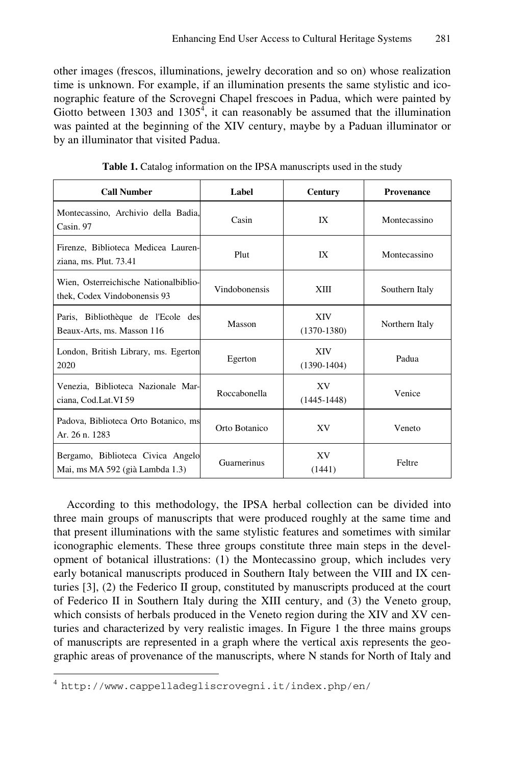other images (frescos, illuminations, jewelry decoration and so on) whose realization time is unknown. For example, if an illumination presents the same stylistic and iconographic feature of the Scrovegni Chapel frescoes in Padua, which were painted by Giotto between  $1303$  and  $1305<sup>4</sup>$ , it can reasonably be assumed that the illumination was painted at the beginning of the XIV century, maybe by a Paduan illuminator or by an illuminator that visited Padua.

| <b>Call Number</b>                                                    | Label                | <b>Century</b>               | <b>Provenance</b> |
|-----------------------------------------------------------------------|----------------------|------------------------------|-------------------|
| Montecassino, Archivio della Badia,<br>Casin. 97                      | Casin                | IX                           | Montecassino      |
| Firenze, Biblioteca Medicea Lauren-<br>ziana, ms. Plut. 73.41         | Plut                 | IX                           | Montecassino      |
| Wien, Osterreichische Nationalbiblio-<br>thek, Codex Vindobonensis 93 | <b>Vindobonensis</b> | <b>XIII</b>                  | Southern Italy    |
| Paris, Bibliothèque de l'Ecole des<br>Beaux-Arts, ms. Masson 116      | Masson               | <b>XIV</b><br>$(1370-1380)$  | Northern Italy    |
| London, British Library, ms. Egerton<br>2020                          | Egerton              | <b>XIV</b><br>$(1390-1404)$  | Padua             |
| Venezia, Biblioteca Nazionale Mar-<br>ciana, Cod.Lat.VI 59            | Roccabonella         | <b>XV</b><br>$(1445 - 1448)$ | Venice            |
| Padova, Biblioteca Orto Botanico, ms<br>Ar. 26 n. 1283                | Orto Botanico        | <b>XV</b>                    | Veneto            |
| Bergamo, Biblioteca Civica Angelo<br>Mai, ms MA 592 (già Lambda 1.3)  | Guarnerinus          | <b>XV</b><br>(1441)          | Feltre            |

**Table 1.** Catalog information on the IPSA manuscripts used in the study

According to this methodology, the IPSA herbal collection can be divided into three main groups of manuscripts that were produced roughly at the same time and that present illuminations with the same stylistic features and sometimes with similar iconographic elements. These three groups constitute three main steps in the development of botanical illustrations: (1) the Montecassino group, which includes very early botanical manuscripts produced in Southern Italy between the VIII and IX centuries [3], (2) the Federico II group, constituted by manuscripts produced at the court of Federico II in Southern Italy during the XIII century, and (3) the Veneto group, which consists of herbals produced in the Veneto region during the XIV and XV centuries and characterized by very realistic images. In Figure 1 the three mains groups of manuscripts are represented in a graph where the vertical axis represents the geographic areas of provenance of the manuscripts, where N stands for North of Italy and

j

 $^4$  http://www.cappelladegliscrovegni.it/index.php/en/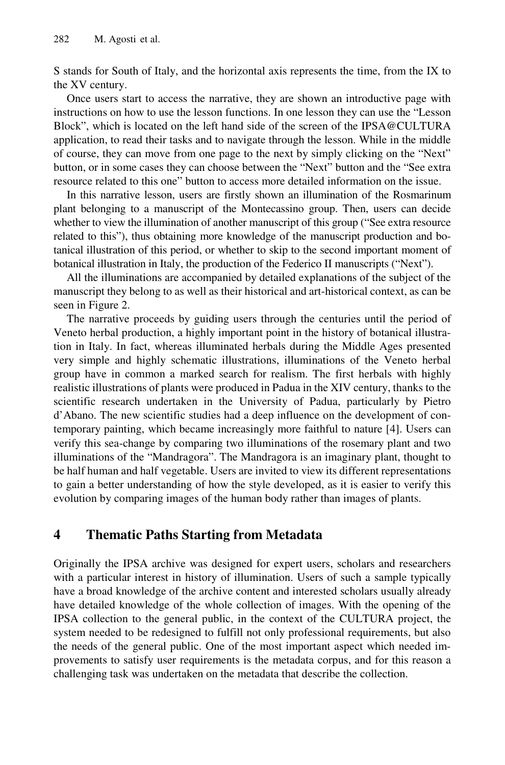S stands for South of Italy, and the horizontal axis represents the time, from the IX to the XV century.

Once users start to access the narrative, they are shown an introductive page with instructions on how to use the lesson functions. In one lesson they can use the "Lesson Block", which is located on the left hand side of the screen of the IPSA@CULTURA application, to read their tasks and to navigate through the lesson. While in the middle of course, they can move from one page to the next by simply clicking on the "Next" button, or in some cases they can choose between the "Next" button and the "See extra resource related to this one" button to access more detailed information on the issue.

In this narrative lesson, users are firstly shown an illumination of the Rosmarinum plant belonging to a manuscript of the Montecassino group. Then, users can decide whether to view the illumination of another manuscript of this group ("See extra resource related to this"), thus obtaining more knowledge of the manuscript production and botanical illustration of this period, or whether to skip to the second important moment of botanical illustration in Italy, the production of the Federico II manuscripts ("Next").

All the illuminations are accompanied by detailed explanations of the subject of the manuscript they belong to as well as their historical and art-historical context, as can be seen in Figure 2.

The narrative proceeds by guiding users through the centuries until the period of Veneto herbal production, a highly important point in the history of botanical illustration in Italy. In fact, whereas illuminated herbals during the Middle Ages presented very simple and highly schematic illustrations, illuminations of the Veneto herbal group have in common a marked search for realism. The first herbals with highly realistic illustrations of plants were produced in Padua in the XIV century, thanks to the scientific research undertaken in the University of Padua, particularly by Pietro d'Abano. The new scientific studies had a deep influence on the development of contemporary painting, which became increasingly more faithful to nature [4]. Users can verify this sea-change by comparing two illuminations of the rosemary plant and two illuminations of the "Mandragora". The Mandragora is an imaginary plant, thought to be half human and half vegetable. Users are invited to view its different representations to gain a better understanding of how the style developed, as it is easier to verify this evolution by comparing images of the human body rather than images of plants.

## **4 Thematic Paths Starting from Metadata**

Originally the IPSA archive was designed for expert users, scholars and researchers with a particular interest in history of illumination. Users of such a sample typically have a broad knowledge of the archive content and interested scholars usually already have detailed knowledge of the whole collection of images. With the opening of the IPSA collection to the general public, in the context of the CULTURA project, the system needed to be redesigned to fulfill not only professional requirements, but also the needs of the general public. One of the most important aspect which needed improvements to satisfy user requirements is the metadata corpus, and for this reason a challenging task was undertaken on the metadata that describe the collection.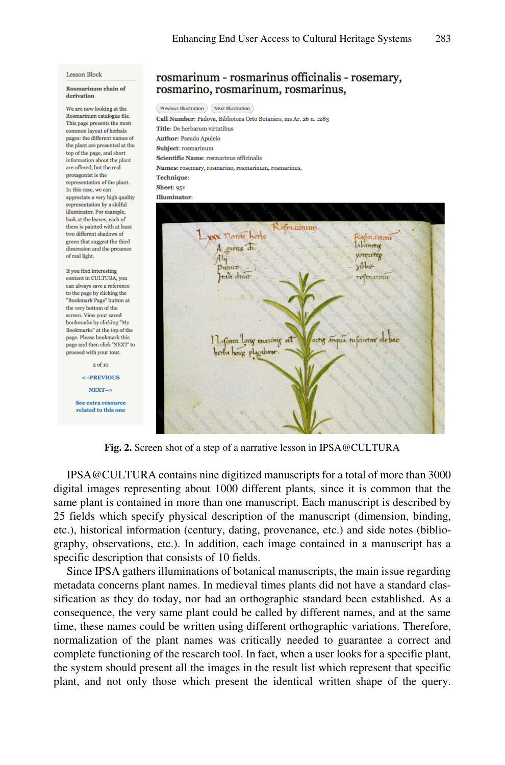rosmarinum - rosmarinus officinalis - rosemary.

rosmarino, rosmarinum, rosmarinus,

Lesson Block

**Poemarinum** chain of derivation



**Fig. 2.** Screen shot of a step of a narrative lesson in IPSA@CULTURA

IPSA@CULTURA contains nine digitized manuscripts for a total of more than 3000 digital images representing about 1000 different plants, since it is common that the same plant is contained in more than one manuscript. Each manuscript is described by 25 fields which specify physical description of the manuscript (dimension, binding, etc.), historical information (century, dating, provenance, etc.) and side notes (bibliography, observations, etc.). In addition, each image contained in a manuscript has a specific description that consists of 10 fields.

Since IPSA gathers illuminations of botanical manuscripts, the main issue regarding metadata concerns plant names. In medieval times plants did not have a standard classification as they do today, nor had an orthographic standard been established. As a consequence, the very same plant could be called by different names, and at the same time, these names could be written using different orthographic variations. Therefore, normalization of the plant names was critically needed to guarantee a correct and complete functioning of the research tool. In fact, when a user looks for a specific plant, the system should present all the images in the result list which represent that specific plant, and not only those which present the identical written shape of the query.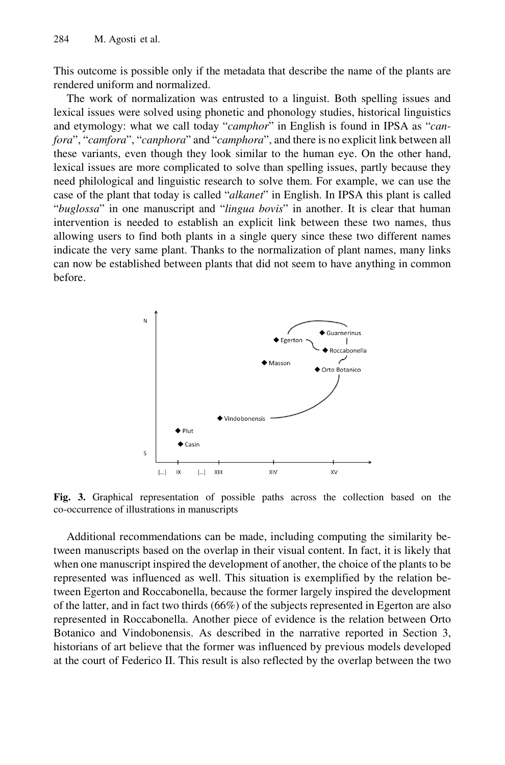This outcome is possible only if the metadata that describe the name of the plants are rendered uniform and normalized.

The work of normalization was entrusted to a linguist. Both spelling issues and lexical issues were solved using phonetic and phonology studies, historical linguistics and etymology: what we call today "*camphor*" in English is found in IPSA as "*canfora*", "*camfora*", "*canphora*" and "*camphora*", and there is no explicit link between all these variants, even though they look similar to the human eye. On the other hand, lexical issues are more complicated to solve than spelling issues, partly because they need philological and linguistic research to solve them. For example, we can use the case of the plant that today is called "*alkanet*" in English. In IPSA this plant is called "*buglossa*" in one manuscript and "*lingua bovis*" in another. It is clear that human intervention is needed to establish an explicit link between these two names, thus allowing users to find both plants in a single query since these two different names indicate the very same plant. Thanks to the normalization of plant names, many links can now be established between plants that did not seem to have anything in common before.



**Fig. 3.** Graphical representation of possible paths across the collection based on the co-occurrence of illustrations in manuscripts

Additional recommendations can be made, including computing the similarity between manuscripts based on the overlap in their visual content. In fact, it is likely that when one manuscript inspired the development of another, the choice of the plants to be represented was influenced as well. This situation is exemplified by the relation between Egerton and Roccabonella, because the former largely inspired the development of the latter, and in fact two thirds (66%) of the subjects represented in Egerton are also represented in Roccabonella. Another piece of evidence is the relation between Orto Botanico and Vindobonensis. As described in the narrative reported in Section 3, historians of art believe that the former was influenced by previous models developed at the court of Federico II. This result is also reflected by the overlap between the two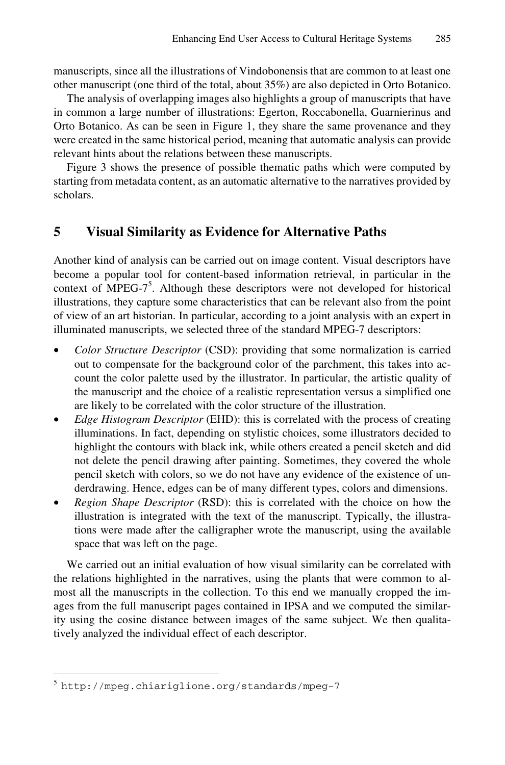manuscripts, since all the illustrations of Vindobonensis that are common to at least one other manuscript (one third of the total, about 35%) are also depicted in Orto Botanico.

The analysis of overlapping images also highlights a group of manuscripts that have in common a large number of illustrations: Egerton, Roccabonella, Guarnierinus and Orto Botanico. As can be seen in Figure 1, they share the same provenance and they were created in the same historical period, meaning that automatic analysis can provide relevant hints about the relations between these manuscripts.

Figure 3 shows the presence of possible thematic paths which were computed by starting from metadata content, as an automatic alternative to the narratives provided by scholars.

## **5 Visual Similarity as Evidence for Alternative Paths**

Another kind of analysis can be carried out on image content. Visual descriptors have become a popular tool for content-based information retrieval, in particular in the context of MPEG-7<sup>5</sup>. Although these descriptors were not developed for historical illustrations, they capture some characteristics that can be relevant also from the point of view of an art historian. In particular, according to a joint analysis with an expert in illuminated manuscripts, we selected three of the standard MPEG-7 descriptors:

- *Color Structure Descriptor* (CSD): providing that some normalization is carried out to compensate for the background color of the parchment, this takes into account the color palette used by the illustrator. In particular, the artistic quality of the manuscript and the choice of a realistic representation versus a simplified one are likely to be correlated with the color structure of the illustration.
- *Edge Histogram Descriptor* (EHD): this is correlated with the process of creating illuminations. In fact, depending on stylistic choices, some illustrators decided to highlight the contours with black ink, while others created a pencil sketch and did not delete the pencil drawing after painting. Sometimes, they covered the whole pencil sketch with colors, so we do not have any evidence of the existence of underdrawing. Hence, edges can be of many different types, colors and dimensions.
- *Region Shape Descriptor* (RSD): this is correlated with the choice on how the illustration is integrated with the text of the manuscript. Typically, the illustrations were made after the calligrapher wrote the manuscript, using the available space that was left on the page.

We carried out an initial evaluation of how visual similarity can be correlated with the relations highlighted in the narratives, using the plants that were common to almost all the manuscripts in the collection. To this end we manually cropped the images from the full manuscript pages contained in IPSA and we computed the similarity using the cosine distance between images of the same subject. We then qualitatively analyzed the individual effect of each descriptor.

j

<sup>5</sup> http://mpeg.chiariglione.org/standards/mpeg-7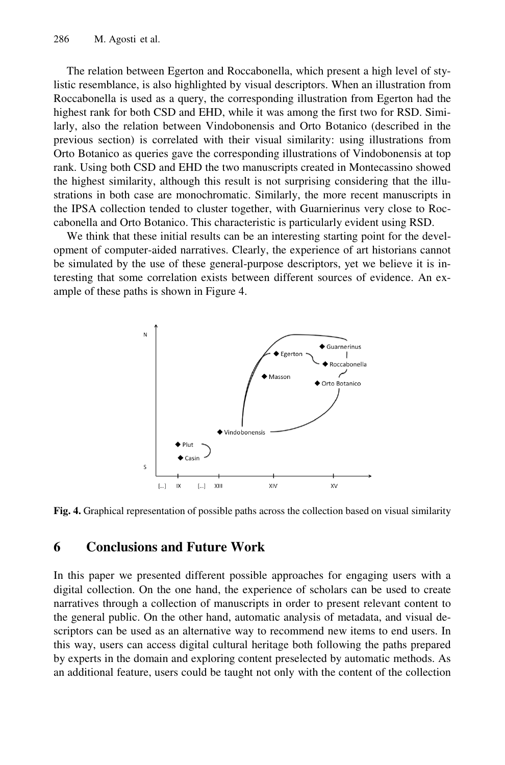The relation between Egerton and Roccabonella, which present a high level of stylistic resemblance, is also highlighted by visual descriptors. When an illustration from Roccabonella is used as a query, the corresponding illustration from Egerton had the highest rank for both CSD and EHD, while it was among the first two for RSD. Similarly, also the relation between Vindobonensis and Orto Botanico (described in the previous section) is correlated with their visual similarity: using illustrations from Orto Botanico as queries gave the corresponding illustrations of Vindobonensis at top rank. Using both CSD and EHD the two manuscripts created in Montecassino showed the highest similarity, although this result is not surprising considering that the illustrations in both case are monochromatic. Similarly, the more recent manuscripts in the IPSA collection tended to cluster together, with Guarnierinus very close to Roccabonella and Orto Botanico. This characteristic is particularly evident using RSD.

We think that these initial results can be an interesting starting point for the development of computer-aided narratives. Clearly, the experience of art historians cannot be simulated by the use of these general-purpose descriptors, yet we believe it is interesting that some correlation exists between different sources of evidence. An example of these paths is shown in Figure 4.



**Fig. 4.** Graphical representation of possible paths across the collection based on visual similarity

## **6 Conclusions and Future Work**

In this paper we presented different possible approaches for engaging users with a digital collection. On the one hand, the experience of scholars can be used to create narratives through a collection of manuscripts in order to present relevant content to the general public. On the other hand, automatic analysis of metadata, and visual descriptors can be used as an alternative way to recommend new items to end users. In this way, users can access digital cultural heritage both following the paths prepared by experts in the domain and exploring content preselected by automatic methods. As an additional feature, users could be taught not only with the content of the collection